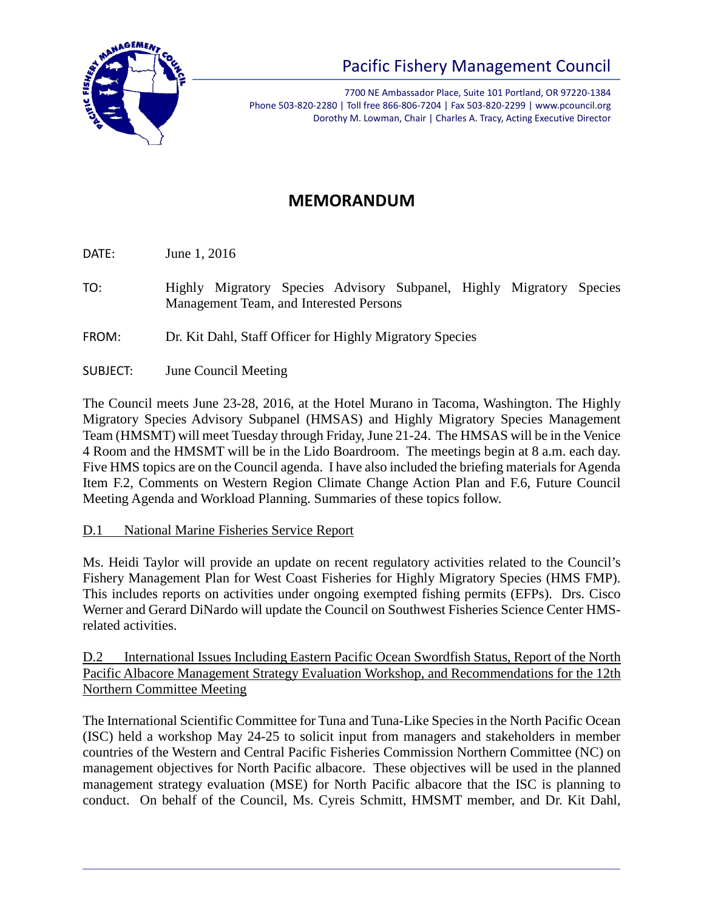

7700 NE Ambassador Place, Suite 101 Portland, OR 97220-1384 Phone 503-820-2280 | Toll free 866-806-7204 | Fax 503-820-2299 | www.pcouncil.org Dorothy M. Lowman, Chair | Charles A. Tracy, Acting Executive Director

# **MEMORANDUM**

DATE: June 1, 2016

- TO: Highly Migratory Species Advisory Subpanel, Highly Migratory Species Management Team, and Interested Persons
- FROM: Dr. Kit Dahl, Staff Officer for Highly Migratory Species
- SUBJECT: June Council Meeting

The Council meets June 23-28, 2016, at the Hotel Murano in Tacoma, Washington. The Highly Migratory Species Advisory Subpanel (HMSAS) and Highly Migratory Species Management Team (HMSMT) will meet Tuesday through Friday, June 21-24. The HMSAS will be in the Venice 4 Room and the HMSMT will be in the Lido Boardroom. The meetings begin at 8 a.m. each day. Five HMS topics are on the Council agenda. I have also included the briefing materials for Agenda Item F.2, Comments on Western Region Climate Change Action Plan and F.6, Future Council Meeting Agenda and Workload Planning. Summaries of these topics follow.

## D.1 National Marine Fisheries Service Report

Ms. Heidi Taylor will provide an update on recent regulatory activities related to the Council's Fishery Management Plan for West Coast Fisheries for Highly Migratory Species (HMS FMP). This includes reports on activities under ongoing exempted fishing permits (EFPs). Drs. Cisco Werner and Gerard DiNardo will update the Council on Southwest Fisheries Science Center HMSrelated activities.

D.2 International Issues Including Eastern Pacific Ocean Swordfish Status, Report of the North Pacific Albacore Management Strategy Evaluation Workshop, and Recommendations for the 12th Northern Committee Meeting

The International Scientific Committee for Tuna and Tuna-Like Species in the North Pacific Ocean (ISC) held a workshop May 24-25 to solicit input from managers and stakeholders in member countries of the Western and Central Pacific Fisheries Commission Northern Committee (NC) on management objectives for North Pacific albacore. These objectives will be used in the planned management strategy evaluation (MSE) for North Pacific albacore that the ISC is planning to conduct. On behalf of the Council, Ms. Cyreis Schmitt, HMSMT member, and Dr. Kit Dahl,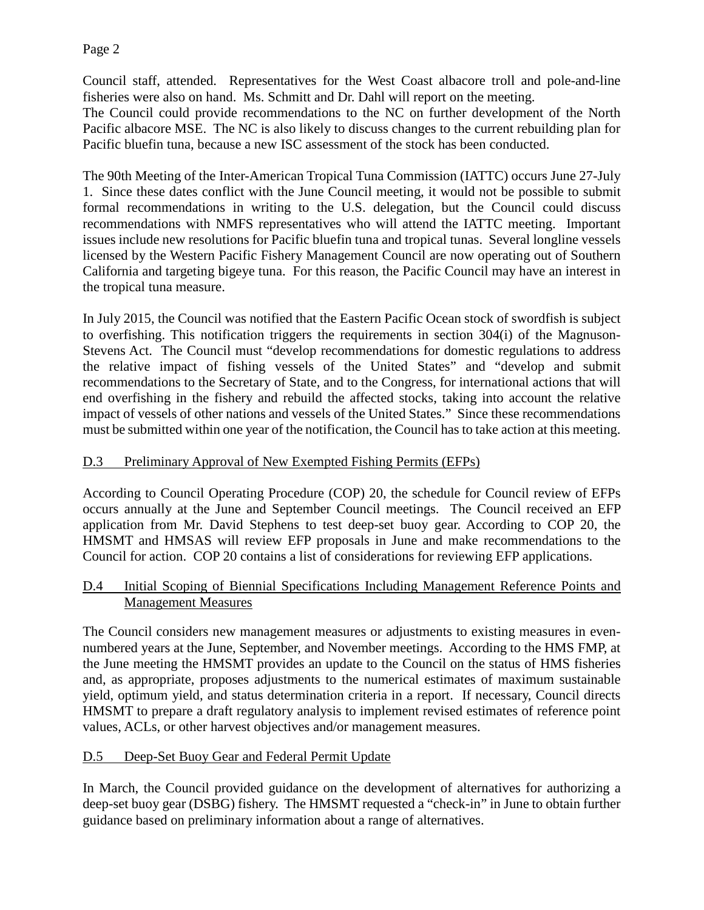Council staff, attended. Representatives for the West Coast albacore troll and pole-and-line fisheries were also on hand. Ms. Schmitt and Dr. Dahl will report on the meeting. The Council could provide recommendations to the NC on further development of the North

Pacific albacore MSE. The NC is also likely to discuss changes to the current rebuilding plan for Pacific bluefin tuna, because a new ISC assessment of the stock has been conducted.

The 90th Meeting of the Inter-American Tropical Tuna Commission (IATTC) occurs June 27-July 1. Since these dates conflict with the June Council meeting, it would not be possible to submit formal recommendations in writing to the U.S. delegation, but the Council could discuss recommendations with NMFS representatives who will attend the IATTC meeting. Important issues include new resolutions for Pacific bluefin tuna and tropical tunas. Several longline vessels licensed by the Western Pacific Fishery Management Council are now operating out of Southern California and targeting bigeye tuna. For this reason, the Pacific Council may have an interest in the tropical tuna measure.

In July 2015, the Council was notified that the Eastern Pacific Ocean stock of swordfish is subject to overfishing. This notification triggers the requirements in section 304(i) of the Magnuson-Stevens Act. The Council must "develop recommendations for domestic regulations to address the relative impact of fishing vessels of the United States" and "develop and submit recommendations to the Secretary of State, and to the Congress, for international actions that will end overfishing in the fishery and rebuild the affected stocks, taking into account the relative impact of vessels of other nations and vessels of the United States." Since these recommendations must be submitted within one year of the notification, the Council has to take action at this meeting.

## D.3 Preliminary Approval of New Exempted Fishing Permits (EFPs)

According to Council Operating Procedure (COP) 20, the schedule for Council review of EFPs occurs annually at the June and September Council meetings. The Council received an EFP application from Mr. David Stephens to test deep-set buoy gear. According to COP 20, the HMSMT and HMSAS will review EFP proposals in June and make recommendations to the Council for action. COP 20 contains a list of considerations for reviewing EFP applications.

#### D.4 Initial Scoping of Biennial Specifications Including Management Reference Points and Management Measures

The Council considers new management measures or adjustments to existing measures in evennumbered years at the June, September, and November meetings. According to the HMS FMP, at the June meeting the HMSMT provides an update to the Council on the status of HMS fisheries and, as appropriate, proposes adjustments to the numerical estimates of maximum sustainable yield, optimum yield, and status determination criteria in a report. If necessary, Council directs HMSMT to prepare a draft regulatory analysis to implement revised estimates of reference point values, ACLs, or other harvest objectives and/or management measures.

## D.5 Deep-Set Buoy Gear and Federal Permit Update

In March, the Council provided guidance on the development of alternatives for authorizing a deep-set buoy gear (DSBG) fishery. The HMSMT requested a "check-in" in June to obtain further guidance based on preliminary information about a range of alternatives.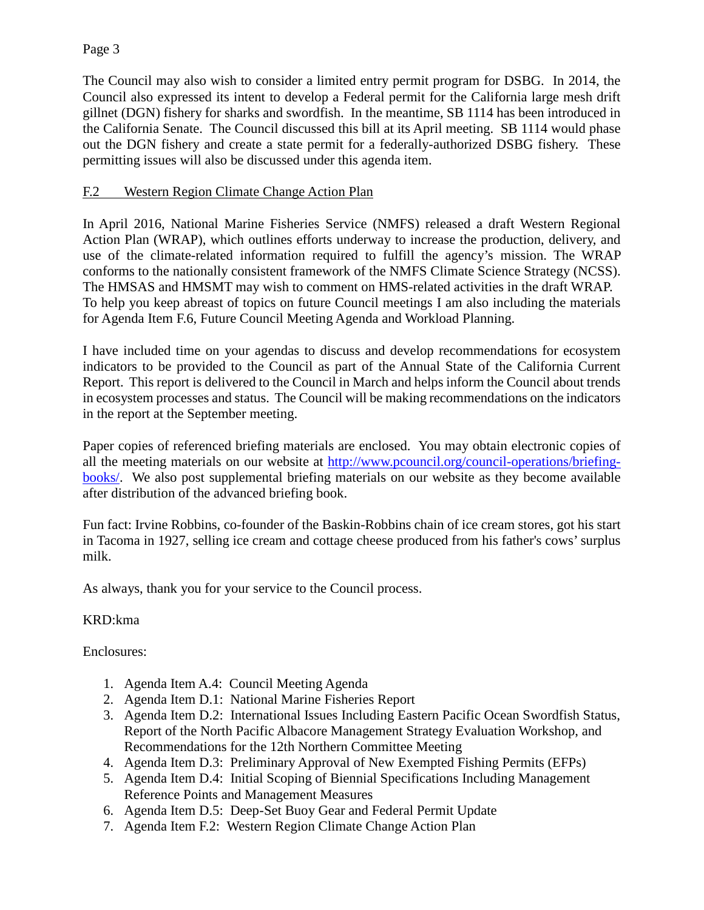#### Page 3

The Council may also wish to consider a limited entry permit program for DSBG. In 2014, the Council also expressed its intent to develop a Federal permit for the California large mesh drift gillnet (DGN) fishery for sharks and swordfish. In the meantime, SB 1114 has been introduced in the California Senate. The Council discussed this bill at its April meeting. SB 1114 would phase out the DGN fishery and create a state permit for a federally-authorized DSBG fishery. These permitting issues will also be discussed under this agenda item.

#### F.2 Western Region Climate Change Action Plan

In April 2016, National Marine Fisheries Service (NMFS) released a draft Western Regional Action Plan (WRAP), which outlines efforts underway to increase the production, delivery, and use of the climate-related information required to fulfill the agency's mission. The WRAP conforms to the nationally consistent framework of the NMFS Climate Science Strategy (NCSS). The HMSAS and HMSMT may wish to comment on HMS-related activities in the draft WRAP. To help you keep abreast of topics on future Council meetings I am also including the materials for Agenda Item F.6, Future Council Meeting Agenda and Workload Planning.

I have included time on your agendas to discuss and develop recommendations for ecosystem indicators to be provided to the Council as part of the Annual State of the California Current Report. This report is delivered to the Council in March and helps inform the Council about trends in ecosystem processes and status. The Council will be making recommendations on the indicators in the report at the September meeting.

Paper copies of referenced briefing materials are enclosed. You may obtain electronic copies of all the meeting materials on our website at [http://www.pcouncil.org/council-operations/briefing](http://www.pcouncil.org/council-operations/briefing-books/)[books/.](http://www.pcouncil.org/council-operations/briefing-books/) We also post supplemental briefing materials on our website as they become available after distribution of the advanced briefing book.

Fun fact: Irvine Robbins, co-founder of the Baskin-Robbins chain of ice cream stores, got his start in Tacoma in 1927, selling ice cream and cottage cheese produced from his father's cows'surplus milk.

As always, thank you for your service to the Council process.

## KRD:kma

Enclosures:

- 1. Agenda Item A.4: Council Meeting Agenda
- 2. Agenda Item D.1: National Marine Fisheries Report
- 3. Agenda Item D.2: International Issues Including Eastern Pacific Ocean Swordfish Status, Report of the North Pacific Albacore Management Strategy Evaluation Workshop, and Recommendations for the 12th Northern Committee Meeting
- 4. Agenda Item D.3: Preliminary Approval of New Exempted Fishing Permits (EFPs)
- 5. Agenda Item D.4: Initial Scoping of Biennial Specifications Including Management Reference Points and Management Measures
- 6. Agenda Item D.5: Deep-Set Buoy Gear and Federal Permit Update
- 7. Agenda Item F.2: Western Region Climate Change Action Plan